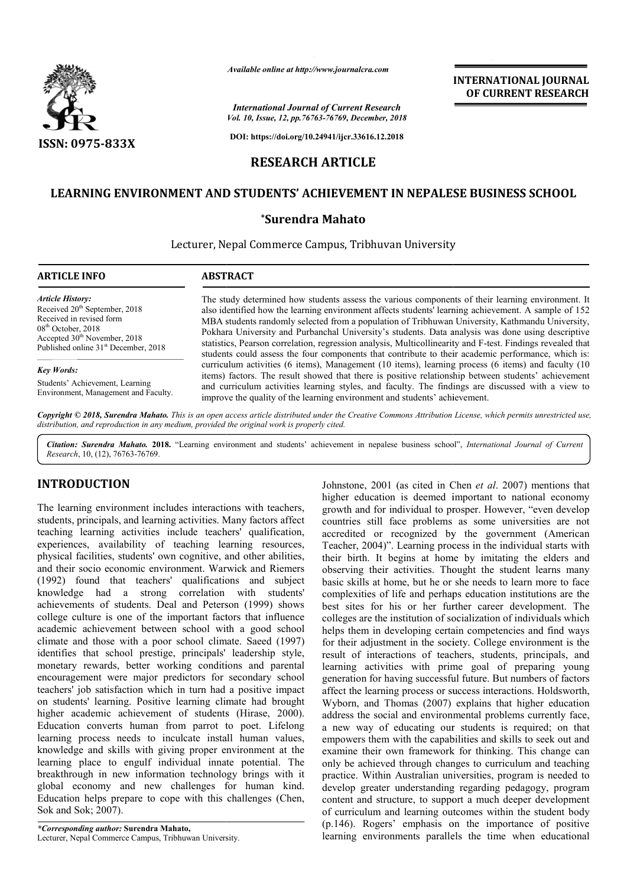

*International Journal of Current Research Vol. 10, Issue, 12, pp.76763-76769, December, 2018*

**DOI: https://doi.org/10.24941/ijcr.33616.12.2018**

# **RESEARCH ARTICLE**

# LEARNING ENVIRONMENT AND STUDENTS' ACHIEVEMENT IN NEPALESE BUSINESS SCHOOL

## **\*Surendra Mahato**

Lecturer, Nepal Commerce Campus, Tribhuvan University

### **ARTICLE INFO ABSTRACT**

*Article History:* Received  $20<sup>th</sup>$  September, 2018

Received in revised form 08<sup>th</sup> October, 2018 Accepted  $30^{\text{th}}$  November, 2018 Published online 31<sup>st</sup> December, 2018

### *Key Words:*

Students' Achievement, Learning Environment, Management and Faculty.

The study determined how students assess the various components of their learning environment. It also identified how the learning environment affects students' learning achievement. A sample of 152 MBA students randomly selected from a population of Tribhuwan University, Kathmandu University, The study determined how students assess the various components of their learning environment. It also identified how the learning environment affects students' learning achievement. A sample of 152 MBA students randomly s statistics, Pearson correlation, regression analysis, Multicollinearity and F-test. Findings revealed that students could assess the four components that contribute to their academic performance, which is: curriculum activities (6 items), Management (10 items), learning process (6 items) and faculty (10 items) factors. The result showed that there is positive relationship between students' achievement and curriculum activities learning styles, and faculty. The findings are discussed with a view to improve the quality of the learning environment and students' achievement. improve Available online at http://www.journalcra.com<br>
International Journal of Current Resea<br>
Vol. 10, Issue, 12, pp.76763-76769, December,<br>
DOI: https://doi.org/10.24941/ijcr.33616.12.<br> **RESEARCH ARTICLE**<br> **ENT AND STUDENTS' ACH** students could assess the four components that contribute to their academic performance, which is: curriculum activities (6 items), Management (10 items), learning process (6 items) and faculty (10 items) factors. The resu

**INTERNATIONAL JOURNAL OF CURRENT RESEARCH**

Copyright © 2018, Surendra Mahato. This is an open access article distributed under the Creative Commons Attribution License, which permits unrestricted use, *distribution, and reproduction in any medium, provided the original work is properly cited.*

Citation: Surendra Mahato. 2018. "Learning environment and students' achievement in nepalese business school", *International Journal of Current Research*, 10, (12), 76763-76769.

# **INTRODUCTION**

The learning environment includes interactions with teachers, students, principals, and learning activities. Many factors affect teaching learning activities include teachers' qualification, experiences, availability of teaching learning resources, physical facilities, students' own cognitive, and other abilities, and their socio economic environment. Warwick and Riemers (1992) found that teachers' qualifications and s subject knowledge had a strong correlation with students' achievements of students. Deal and Peterson (1999) shows college culture is one of the important factors that influence academic achievement between school with a good school climate and those with a poor school climate. Saeed (1997) identifies that school prestige, principals' leadership style, monetary rewards, better working conditions and parental encouragement were major predictors for secondary school teachers' job satisfaction which in turn had a positive impact on students' learning. Positive learning climate had brought higher academic achievement of students (Hirase, 2000). Education converts human from parrot to poet. Lifelong learning process needs to inculcate install human values, knowledge and skills with giving proper environment at the learning place to engulf individual innate potential. The breakthrough in new information technology brings with it global economy and new challenges for human kind. Education helps prepare to cope with this challenges (Chen, Sok and Sok; 2007). ge and skills with giving proper envi<br>place to engulf individual innate<br>ough in new information technology<br>economy and new challenges for<br>n helps prepare to cope with this cha<br>Sok; 2007).<br>*nding author*: Surendra Mahato,<br>l

*\*Corresponding author:* **Surendra Mahato,** Lecturer, Nepal Commerce Campus, Tribhuwan University

Johnstone, 2001 (as cited in Chen et al. 2007) mentions that higher education is deemed important to national economy growth and for individual to prosper. However, "even develop countries still face problems as some universities are not accredited or recognized by the government (American Teacher, 2004)". Learning process in the individual starts with their birth. It begins at home by imitating the elders and observing their activities. Thought the student learns many basic skills at home, but he or she needs to learn more to face complexities of life and perhaps education institutions are the best sites for his or her further career development. The colleges are the institution of socialization of individuals which helps them in developing certain competencies and find ways for their adjustment in the society. College environment is the result of interactions of teachers, students, principals, and learning activities with prime goal of preparing young generation for having successful future. affect the learning process or success interactions. Holdsworth, Wyborn, and Thomas (2007) explains that higher education address the social and environmental problems currently face, a new way of educating our students is required; on that address the social and environmental problems currently face, a new way of educating our students is required; on that empowers them with the capabilities and skills to seek out and examine their own framework for thinking. This change can only be achieved through changes to curriculum and teaching practice. Within Australian universities, program is needed to develop greater understanding regarding pedagogy, program content and structure, to support a much deeper development of curriculum and learning outcomes within the student body (p.146). Rogers' emphasis on the importance of positive learning environments parallels the time when educational er education is deemed important to national economy<br>th and for individual to prosper. However, "even develop<br>tries still face problems as some universities are not<br>dited or recognized by the government (American<br>her, 2004 **EXERVARY (FREE ANTIONAL FOURNEL CONDUCTS (FREE ANTIONAL CONDUCTS)**<br> **CHANGE CONDUCTS** (FREE ANTION (FREE ANTION) (FREE ANTION) (FREE ANTION) (FREE ANTION) (FREE ANTIONS (FREE RUSINESS SCHOOL D)<br> **D**<br> **D**<br> **CHANGE CONDUCT**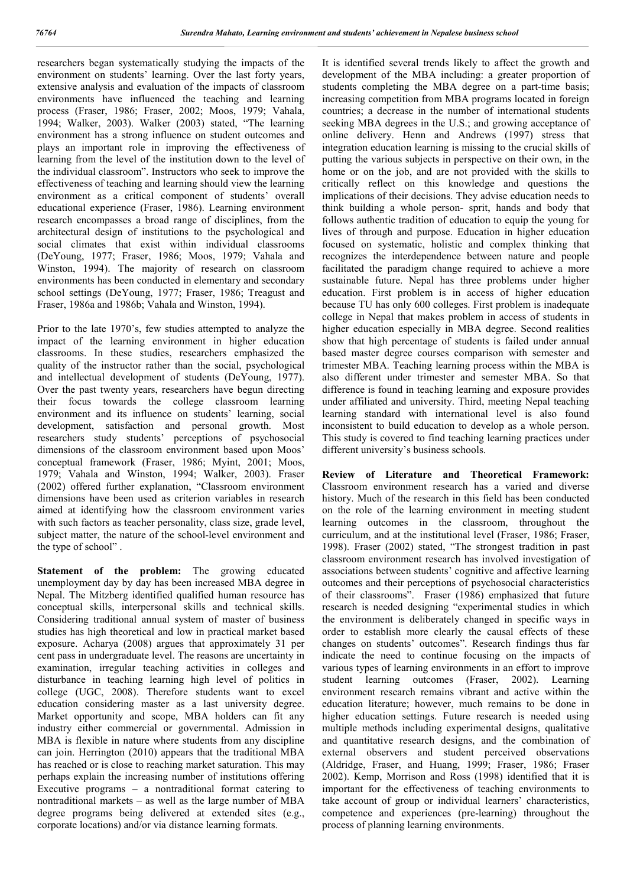researchers began systematically studying the impacts of the environment on students' learning. Over the last forty years, extensive analysis and evaluation of the impacts of classroom environments have influenced the teaching and learning process (Fraser, 1986; Fraser, 2002; Moos, 1979; Vahala, 1994; Walker, 2003). Walker (2003) stated, "The learning environment has a strong influence on student outcomes and plays an important role in improving the effectiveness of learning from the level of the institution down to the level of the individual classroom". Instructors who seek to improve the effectiveness of teaching and learning should view the learning environment as a critical component of students' overall educational experience (Fraser, 1986). Learning environment research encompasses a broad range of disciplines, from the architectural design of institutions to the psychological and social climates that exist within individual classrooms (DeYoung, 1977; Fraser, 1986; Moos, 1979; Vahala and Winston, 1994). The majority of research on classroom environments has been conducted in elementary and secondary school settings (DeYoung, 1977; Fraser, 1986; Treagust and Fraser, 1986a and 1986b; Vahala and Winston, 1994).

Prior to the late 1970's, few studies attempted to analyze the impact of the learning environment in higher education classrooms. In these studies, researchers emphasized the quality of the instructor rather than the social, psychological and intellectual development of students (DeYoung, 1977). Over the past twenty years, researchers have begun directing their focus towards the college classroom learning environment and its influence on students' learning, social development, satisfaction and personal growth. Most researchers study students' perceptions of psychosocial dimensions of the classroom environment based upon Moos' conceptual framework (Fraser, 1986; Myint, 2001; Moos, 1979; Vahala and Winston, 1994; Walker, 2003). Fraser (2002) offered further explanation, "Classroom environment dimensions have been used as criterion variables in research aimed at identifying how the classroom environment varies with such factors as teacher personality, class size, grade level, subject matter, the nature of the school-level environment and the type of school" .

**Statement of the problem:** The growing educated unemployment day by day has been increased MBA degree in Nepal. The Mitzberg identified qualified human resource has conceptual skills, interpersonal skills and technical skills. Considering traditional annual system of master of business studies has high theoretical and low in practical market based exposure. Acharya (2008) argues that approximately 31 per cent pass in undergraduate level. The reasons are uncertainty in examination, irregular teaching activities in colleges and disturbance in teaching learning high level of politics in college (UGC, 2008). Therefore students want to excel education considering master as a last university degree. Market opportunity and scope, MBA holders can fit any industry either commercial or governmental. Admission in MBA is flexible in nature where students from any discipline can join. Herrington (2010) appears that the traditional MBA has reached or is close to reaching market saturation. This may perhaps explain the increasing number of institutions offering Executive programs – a nontraditional format catering to nontraditional markets – as well as the large number of MBA degree programs being delivered at extended sites (e.g., corporate locations) and/or via distance learning formats.

It is identified several trends likely to affect the growth and development of the MBA including: a greater proportion of students completing the MBA degree on a part-time basis; increasing competition from MBA programs located in foreign countries; a decrease in the number of international students seeking MBA degrees in the U.S.; and growing acceptance of online delivery. Henn and Andrews (1997) stress that integration education learning is missing to the crucial skills of putting the various subjects in perspective on their own, in the home or on the job, and are not provided with the skills to critically reflect on this knowledge and questions the implications of their decisions. They advise education needs to think building a whole person- sprit, hands and body that follows authentic tradition of education to equip the young for lives of through and purpose. Education in higher education focused on systematic, holistic and complex thinking that recognizes the interdependence between nature and people facilitated the paradigm change required to achieve a more sustainable future. Nepal has three problems under higher education. First problem is in access of higher education because TU has only 600 colleges. First problem is inadequate college in Nepal that makes problem in access of students in higher education especially in MBA degree. Second realities show that high percentage of students is failed under annual based master degree courses comparison with semester and trimester MBA. Teaching learning process within the MBA is also different under trimester and semester MBA. So that difference is found in teaching learning and exposure provides under affiliated and university. Third, meeting Nepal teaching learning standard with international level is also found inconsistent to build education to develop as a whole person. This study is covered to find teaching learning practices under different university's business schools.

**Review of Literature and Theoretical Framework:**  Classroom environment research has a varied and diverse history. Much of the research in this field has been conducted on the role of the learning environment in meeting student learning outcomes in the classroom, throughout the curriculum, and at the institutional level (Fraser, 1986; Fraser, 1998). Fraser (2002) stated, "The strongest tradition in past classroom environment research has involved investigation of associations between students' cognitive and affective learning outcomes and their perceptions of psychosocial characteristics of their classrooms". Fraser (1986) emphasized that future research is needed designing "experimental studies in which the environment is deliberately changed in specific ways in order to establish more clearly the causal effects of these changes on students' outcomes". Research findings thus far indicate the need to continue focusing on the impacts of various types of learning environments in an effort to improve student learning outcomes (Fraser, 2002). Learning environment research remains vibrant and active within the education literature; however, much remains to be done in higher education settings. Future research is needed using multiple methods including experimental designs, qualitative and quantitative research designs, and the combination of external observers and student perceived observations (Aldridge, Fraser, and Huang, 1999; Fraser, 1986; Fraser 2002). Kemp, Morrison and Ross (1998) identified that it is important for the effectiveness of teaching environments to take account of group or individual learners' characteristics, competence and experiences (pre-learning) throughout the process of planning learning environments.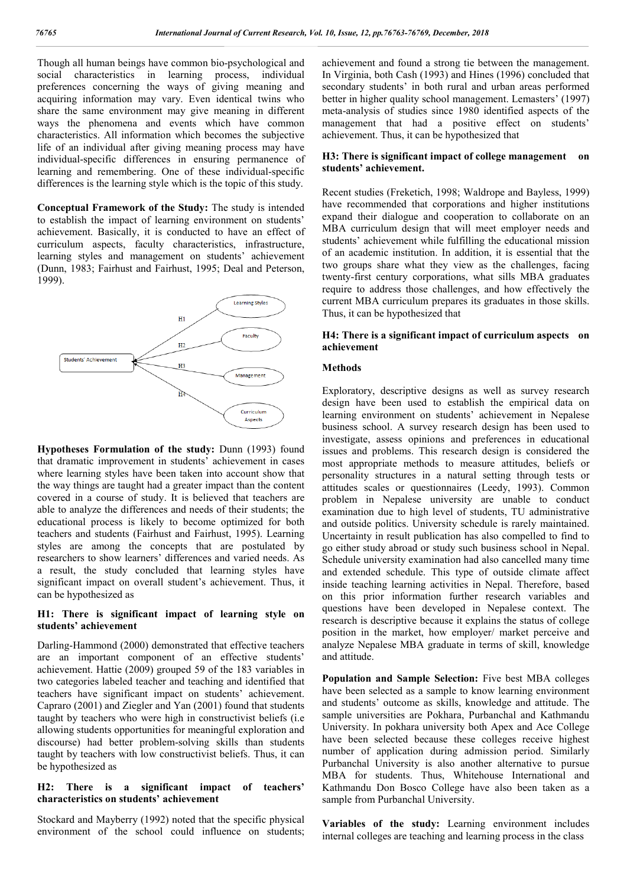Though all human beings have common bio-psychological and social characteristics in learning process, individual preferences concerning the ways of giving meaning and acquiring information may vary. Even identical twins who share the same environment may give meaning in different ways the phenomena and events which have common characteristics. All information which becomes the subjective life of an individual after giving meaning process may have individual-specific differences in ensuring permanence of learning and remembering. One of these individual-specific differences is the learning style which is the topic of this study.

**Conceptual Framework of the Study:** The study is intended to establish the impact of learning environment on students' achievement. Basically, it is conducted to have an effect of curriculum aspects, faculty characteristics, infrastructure, learning styles and management on students' achievement (Dunn, 1983; Fairhust and Fairhust, 1995; Deal and Peterson, 1999).



**Hypotheses Formulation of the study:** Dunn (1993) found that dramatic improvement in students' achievement in cases where learning styles have been taken into account show that the way things are taught had a greater impact than the content covered in a course of study. It is believed that teachers are able to analyze the differences and needs of their students; the educational process is likely to become optimized for both teachers and students (Fairhust and Fairhust, 1995). Learning styles are among the concepts that are postulated by researchers to show learners' differences and varied needs. As a result, the study concluded that learning styles have significant impact on overall student's achievement. Thus, it can be hypothesized as

## **H1: There is significant impact of learning style on students' achievement**

Darling-Hammond (2000) demonstrated that effective teachers are an important component of an effective students' achievement. Hattie (2009) grouped 59 of the 183 variables in two categories labeled teacher and teaching and identified that teachers have significant impact on students' achievement. Capraro (2001) and Ziegler and Yan (2001) found that students taught by teachers who were high in constructivist beliefs (i.e allowing students opportunities for meaningful exploration and discourse) had better problem-solving skills than students taught by teachers with low constructivist beliefs. Thus, it can be hypothesized as

#### **H2: There is a significant impact of teachers' characteristics on students' achievement**

Stockard and Mayberry (1992) noted that the specific physical environment of the school could influence on students; achievement and found a strong tie between the management. In Virginia, both Cash (1993) and Hines (1996) concluded that secondary students' in both rural and urban areas performed better in higher quality school management. Lemasters' (1997) meta-analysis of studies since 1980 identified aspects of the management that had a positive effect on students' achievement. Thus, it can be hypothesized that

### **H3: There is significant impact of college management on students' achievement.**

Recent studies (Freketich, 1998; Waldrope and Bayless, 1999) have recommended that corporations and higher institutions expand their dialogue and cooperation to collaborate on an MBA curriculum design that will meet employer needs and students' achievement while fulfilling the educational mission of an academic institution. In addition, it is essential that the two groups share what they view as the challenges, facing twenty-first century corporations, what sills MBA graduates require to address those challenges, and how effectively the current MBA curriculum prepares its graduates in those skills. Thus, it can be hypothesized that

## **H4: There is a significant impact of curriculum aspects on achievement**

#### **Methods**

Exploratory, descriptive designs as well as survey research design have been used to establish the empirical data on learning environment on students' achievement in Nepalese business school. A survey research design has been used to investigate, assess opinions and preferences in educational issues and problems. This research design is considered the most appropriate methods to measure attitudes, beliefs or personality structures in a natural setting through tests or attitudes scales or questionnaires (Leedy, 1993). Common problem in Nepalese university are unable to conduct examination due to high level of students, TU administrative and outside politics. University schedule is rarely maintained. Uncertainty in result publication has also compelled to find to go either study abroad or study such business school in Nepal. Schedule university examination had also cancelled many time and extended schedule. This type of outside climate affect inside teaching learning activities in Nepal. Therefore, based on this prior information further research variables and questions have been developed in Nepalese context. The research is descriptive because it explains the status of college position in the market, how employer/ market perceive and analyze Nepalese MBA graduate in terms of skill, knowledge and attitude.

**Population and Sample Selection:** Five best MBA colleges have been selected as a sample to know learning environment and students' outcome as skills, knowledge and attitude. The sample universities are Pokhara, Purbanchal and Kathmandu University. In pokhara university both Apex and Ace College have been selected because these colleges receive highest number of application during admission period. Similarly Purbanchal University is also another alternative to pursue MBA for students. Thus, Whitehouse International and Kathmandu Don Bosco College have also been taken as a sample from Purbanchal University.

**Variables of the study:** Learning environment includes internal colleges are teaching and learning process in the class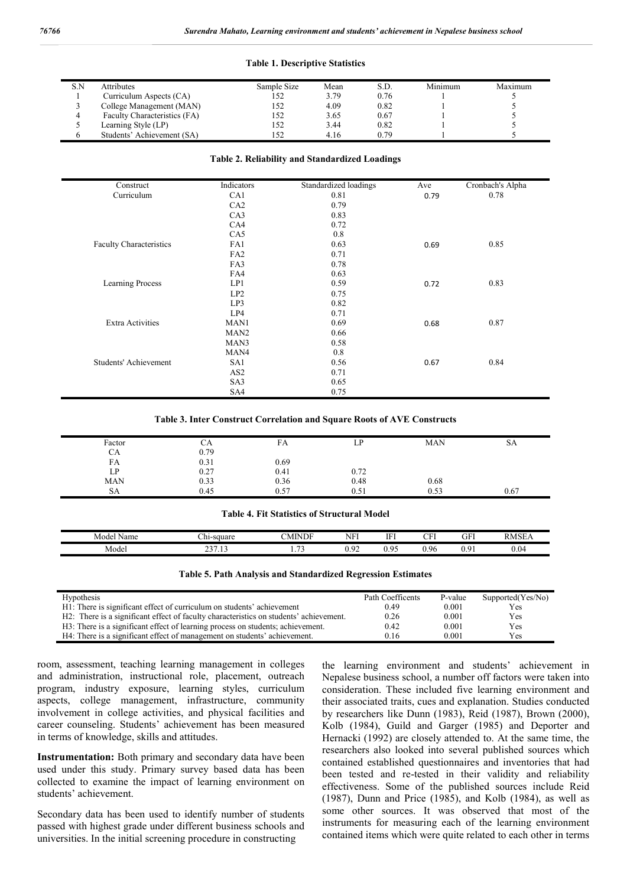#### **Table 1. Descriptive Statistics**

| S.N | <b>Attributes</b>            | Sample Size | Mean | S.D. | Minimum | Maximum |
|-----|------------------------------|-------------|------|------|---------|---------|
|     | Curriculum Aspects (CA)      | 152         | 3.79 | 0.76 |         |         |
|     | College Management (MAN)     | 152         | 4.09 | 0.82 |         |         |
|     | Faculty Characteristics (FA) | 152         | 3.65 | 0.67 |         |         |
|     | Learning Style (LP)          | .52         | 3.44 | 0.82 |         |         |
|     | Students' Achievement (SA)   | .52         | 4.16 | 0.79 |         |         |

#### **Table 2. Reliability and Standardized Loadings**

| Construct                      | Indicators       | Standardized loadings | Ave  | Cronbach's Alpha |
|--------------------------------|------------------|-----------------------|------|------------------|
| Curriculum                     | CA1              | 0.81                  | 0.79 | 0.78             |
|                                | CA2              | 0.79                  |      |                  |
|                                | CA3              | 0.83                  |      |                  |
|                                | CA4              | 0.72                  |      |                  |
|                                | CA5              | 0.8                   |      |                  |
| <b>Faculty Characteristics</b> | FA1              | 0.63                  | 0.69 | 0.85             |
|                                | FA <sub>2</sub>  | 0.71                  |      |                  |
|                                | FA3              | 0.78                  |      |                  |
|                                | FA4              | 0.63                  |      |                  |
| Learning Process               | LP1              | 0.59                  | 0.72 | 0.83             |
|                                | LP2              | 0.75                  |      |                  |
|                                | LP3              | 0.82                  |      |                  |
|                                | LP4              | 0.71                  |      |                  |
| <b>Extra Activities</b>        | MAN1             | 0.69                  | 0.68 | 0.87             |
|                                | MAN <sub>2</sub> | 0.66                  |      |                  |
|                                | MAN3             | 0.58                  |      |                  |
|                                | MAN4             | 0.8                   |      |                  |
| Students' Achievement          | SA1              | 0.56                  | 0.67 | 0.84             |
|                                | AS <sub>2</sub>  | 0.71                  |      |                  |
|                                | SA3              | 0.65                  |      |                  |
|                                | SA4              | 0.75                  |      |                  |

#### **Table 3. Inter Construct Correlation and Square Roots of AVE Constructs**

| Factor     | СA   | FA   | ſD<br>ப | <b>MAN</b> | SA   |
|------------|------|------|---------|------------|------|
| CА         | 0.79 |      |         |            |      |
| FA         | 0.31 | 0.69 |         |            |      |
| LP.        | 0.27 | 0.41 | 0.72    |            |      |
| <b>MAN</b> | 0.33 | 0.36 | 0.48    | 0.68       |      |
| SА         | 0.45 | 0.57 | 0.51    | 0.53       | 0.67 |

#### **Table 4. Fit Statistics of Structural Model**

| - -<br>Model<br>Name | - 1<br>-square<br>−ш-                       | <b>AINDF</b><br>n.<br>M | <b>TITLE</b><br>NF1  | <b>TTT</b><br>. .                    | CFI          | GFI             | <b>RMSEA</b> |
|----------------------|---------------------------------------------|-------------------------|----------------------|--------------------------------------|--------------|-----------------|--------------|
| Model                | $\sim$<br>$\rightarrow$<br>ن ۱۰<br><u>~</u> | --<br>. . <i>.</i> .    | $\sim$<br>ıω<br>0.72 | .05<br>$\mathbf{U} \cdot \mathbf{V}$ | $Q_f$<br>v., | $\Omega$<br>v., | J.04         |

#### **Table 5. Path Analysis and Standardized Regression Estimates**

| <b>Hypothesis</b>                                                                      | Path Coefficents | P-value | Supported(Yes/No) |
|----------------------------------------------------------------------------------------|------------------|---------|-------------------|
| H1: There is significant effect of curriculum on students' achievement                 | 0.49             | 0.001   | Yes               |
| H2: There is a significant effect of faculty characteristics on students' achievement. | 0.26             | 0.001   | Yes               |
| H3: There is a significant effect of learning process on students; achievement.        | 0.42             | 0.001   | Yes               |
| H4: There is a significant effect of management on students' achievement.              | 0.16             | 0.001   | <b>Yes</b>        |

room, assessment, teaching learning management in colleges and administration, instructional role, placement, outreach program, industry exposure, learning styles, curriculum aspects, college management, infrastructure, community involvement in college activities, and physical facilities and career counseling. Students' achievement has been measured in terms of knowledge, skills and attitudes.

**Instrumentation:** Both primary and secondary data have been used under this study. Primary survey based data has been collected to examine the impact of learning environment on students' achievement.

Secondary data has been used to identify number of students passed with highest grade under different business schools and universities. In the initial screening procedure in constructing

the learning environment and students' achievement in Nepalese business school, a number off factors were taken into consideration. These included five learning environment and their associated traits, cues and explanation. Studies conducted by researchers like Dunn (1983), Reid (1987), Brown (2000), Kolb (1984), Guild and Garger (1985) and Deporter and Hernacki (1992) are closely attended to. At the same time, the researchers also looked into several published sources which contained established questionnaires and inventories that had been tested and re-tested in their validity and reliability effectiveness. Some of the published sources include Reid (1987), Dunn and Price (1985), and Kolb (1984), as well as some other sources. It was observed that most of the instruments for measuring each of the learning environment contained items which were quite related to each other in terms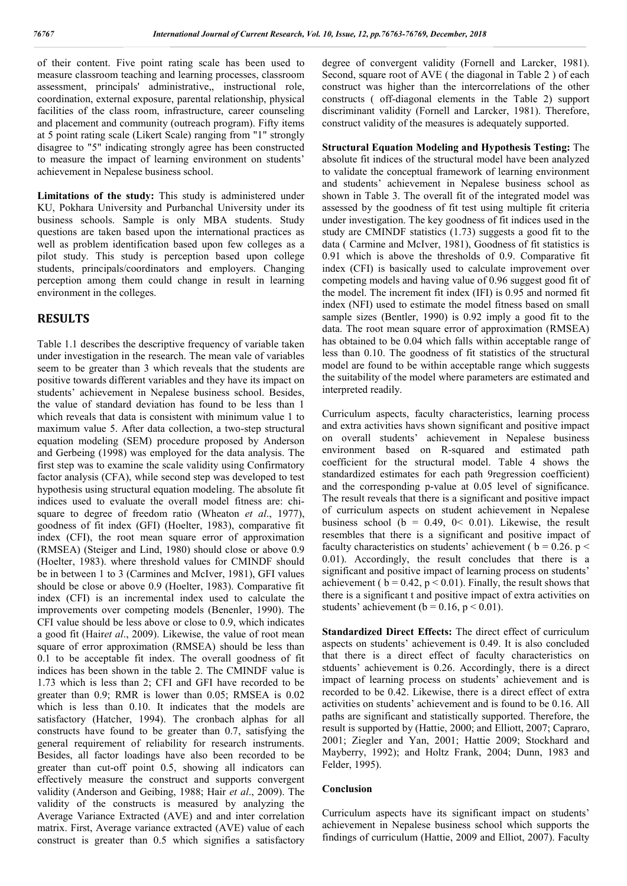of their content. Five point rating scale has been used to measure classroom teaching and learning processes, classroom assessment, principals' administrative,, instructional role, coordination, external exposure, parental relationship, physical facilities of the class room, infrastructure, career counseling and placement and community (outreach program). Fifty items at 5 point rating scale (Likert Scale) ranging from "1" strongly disagree to "5" indicating strongly agree has been constructed to measure the impact of learning environment on students' achievement in Nepalese business school.

**Limitations of the study:** This study is administered under KU, Pokhara University and Purbanchal University under its business schools. Sample is only MBA students. Study questions are taken based upon the international practices as well as problem identification based upon few colleges as a pilot study. This study is perception based upon college students, principals/coordinators and employers. Changing perception among them could change in result in learning environment in the colleges.

# **RESULTS**

Table 1.1 describes the descriptive frequency of variable taken under investigation in the research. The mean vale of variables seem to be greater than 3 which reveals that the students are positive towards different variables and they have its impact on students' achievement in Nepalese business school. Besides, the value of standard deviation has found to be less than 1 which reveals that data is consistent with minimum value 1 to maximum value 5. After data collection, a two-step structural equation modeling (SEM) procedure proposed by Anderson and Gerbeing (1998) was employed for the data analysis. The first step was to examine the scale validity using Confirmatory factor analysis (CFA), while second step was developed to test hypothesis using structural equation modeling. The absolute fit indices used to evaluate the overall model fitness are: chisquare to degree of freedom ratio (Wheaton *et al*., 1977), goodness of fit index (GFI) (Hoelter, 1983), comparative fit index (CFI), the root mean square error of approximation (RMSEA) (Steiger and Lind, 1980) should close or above 0.9 (Hoelter, 1983). where threshold values for CMINDF should be in between 1 to 3 (Carmines and McIver, 1981), GFI values should be close or above 0.9 (Hoelter, 1983). Comparative fit index (CFI) is an incremental index used to calculate the improvements over competing models (Benenler, 1990). The CFI value should be less above or close to 0.9, which indicates a good fit (Hair*et al*., 2009). Likewise, the value of root mean square of error approximation (RMSEA) should be less than 0.1 to be acceptable fit index. The overall goodness of fit indices has been shown in the table 2. The CMINDF value is 1.73 which is less than 2; CFI and GFI have recorded to be greater than 0.9; RMR is lower than 0.05; RMSEA is 0.02 which is less than 0.10. It indicates that the models are satisfactory (Hatcher, 1994). The cronbach alphas for all constructs have found to be greater than 0.7, satisfying the general requirement of reliability for research instruments. Besides, all factor loadings have also been recorded to be greater than cut-off point 0.5, showing all indicators can effectively measure the construct and supports convergent validity (Anderson and Geibing, 1988; Hair *et al*., 2009). The validity of the constructs is measured by analyzing the Average Variance Extracted (AVE) and and inter correlation matrix. First, Average variance extracted (AVE) value of each construct is greater than 0.5 which signifies a satisfactory

degree of convergent validity (Fornell and Larcker, 1981). Second, square root of AVE ( the diagonal in Table 2 ) of each construct was higher than the intercorrelations of the other constructs ( off-diagonal elements in the Table 2) support discriminant validity (Fornell and Larcker, 1981). Therefore, construct validity of the measures is adequately supported.

**Structural Equation Modeling and Hypothesis Testing:** The absolute fit indices of the structural model have been analyzed to validate the conceptual framework of learning environment and students' achievement in Nepalese business school as shown in Table 3. The overall fit of the integrated model was assessed by the goodness of fit test using multiple fit criteria under investigation. The key goodness of fit indices used in the study are CMINDF statistics (1.73) suggests a good fit to the data ( Carmine and McIver, 1981), Goodness of fit statistics is 0.91 which is above the thresholds of 0.9. Comparative fit index (CFI) is basically used to calculate improvement over competing models and having value of 0.96 suggest good fit of the model. The increment fit index (IFI) is 0.95 and normed fit index (NFI) used to estimate the model fitness based on small sample sizes (Bentler, 1990) is 0.92 imply a good fit to the data. The root mean square error of approximation (RMSEA) has obtained to be 0.04 which falls within acceptable range of less than 0.10. The goodness of fit statistics of the structural model are found to be within acceptable range which suggests the suitability of the model where parameters are estimated and interpreted readily.

Curriculum aspects, faculty characteristics, learning process and extra activities havs shown significant and positive impact on overall students' achievement in Nepalese business environment based on R-squared and estimated path coefficient for the structural model. Table 4 shows the standardized estimates for each path 9regression coefficient) and the corresponding p-value at 0.05 level of significance. The result reveals that there is a significant and positive impact of curriculum aspects on student achievement in Nepalese business school ( $b = 0.49$ ,  $0 < 0.01$ ). Likewise, the result resembles that there is a significant and positive impact of faculty characteristics on students' achievement (  $b = 0.26$ . p < 0.01). Accordingly, the result concludes that there is a significant and positive impact of learning process on students' achievement ( $\bar{b} = 0.42$ ,  $p < 0.01$ ). Finally, the result shows that there is a significant t and positive impact of extra activities on students' achievement (b = 0.16, p < 0.01).

**Standardized Direct Effects:** The direct effect of curriculum aspects on students' achievement is 0.49. It is also concluded that there is a direct effect of faculty characteristics on stduents' achievement is 0.26. Accordingly, there is a direct impact of learning process on students' achievement and is recorded to be 0.42. Likewise, there is a direct effect of extra activities on students' achievement and is found to be 0.16. All paths are significant and statistically supported. Therefore, the result is supported by (Hattie, 2000; and Elliott, 2007; Capraro, 2001; Ziegler and Yan, 2001; Hattie 2009; Stockhard and Mayberry, 1992); and Holtz Frank, 2004; Dunn, 1983 and Felder, 1995).

## **Conclusion**

Curriculum aspects have its significant impact on students' achievement in Nepalese business school which supports the findings of curriculum (Hattie, 2009 and Elliot, 2007). Faculty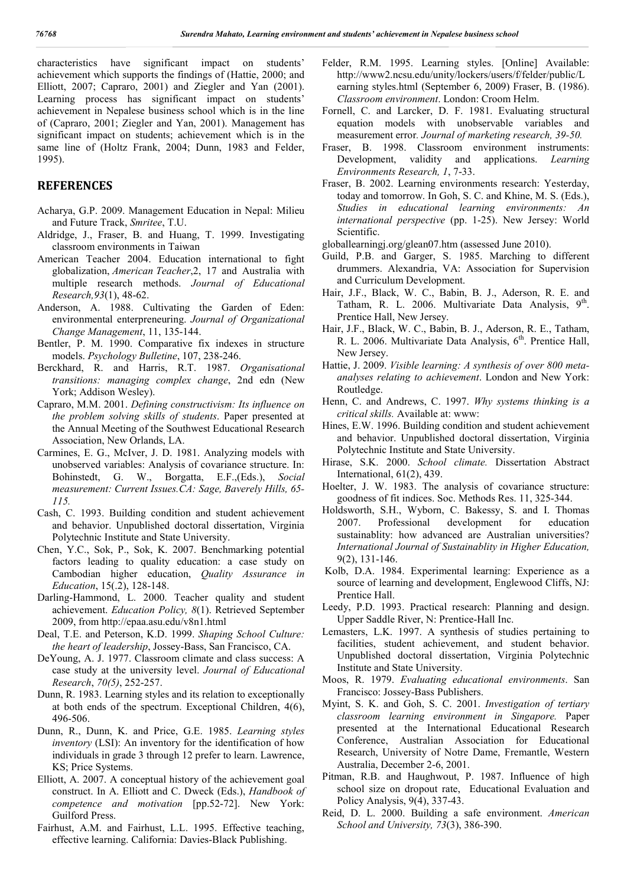characteristics have significant impact on students' achievement which supports the findings of (Hattie, 2000; and Elliott, 2007; Capraro, 2001) and Ziegler and Yan (2001). Learning process has significant impact on students' achievement in Nepalese business school which is in the line of (Capraro, 2001; Ziegler and Yan, 2001). Management has significant impact on students; achievement which is in the same line of (Holtz Frank, 2004; Dunn, 1983 and Felder, 1995).

## **REFERENCES**

- Acharya, G.P. 2009. Management Education in Nepal: Milieu and Future Track, *Smritee*, T.U.
- Aldridge, J., Fraser, B. and Huang, T. 1999. Investigating classroom environments in Taiwan
- American Teacher 2004. Education international to fight globalization, *American Teacher*,2, 17 and Australia with multiple research methods. *Journal of Educational Research,93*(1), 48-62.
- Anderson, A. 1988. Cultivating the Garden of Eden: environmental enterpreneuring. *Journal of Organizational Change Management*, 11, 135-144.
- Bentler, P. M. 1990. Comparative fix indexes in structure models. *Psychology Bulletine*, 107, 238-246.
- Berckhard, R. and Harris, R.T. 1987. *Organisational transitions: managing complex change*, 2nd edn (New York; Addison Wesley).
- Capraro, M.M. 2001. *Defining constructivism: Its influence on the problem solving skills of students*. Paper presented at the Annual Meeting of the Southwest Educational Research Association, New Orlands, LA.
- Carmines, E. G., McIver, J. D. 1981. Analyzing models with unobserved variables: Analysis of covariance structure. In: Bohinstedt, G. W., Borgatta, E.F.,(Eds.), *Social measurement: Current Issues.CA: Sage, Baverely Hills, 65- 115.*
- Cash, C. 1993. Building condition and student achievement and behavior. Unpublished doctoral dissertation, Virginia Polytechnic Institute and State University.
- Chen, Y.C., Sok, P., Sok, K. 2007. Benchmarking potential factors leading to quality education: a case study on Cambodian higher education, *Quality Assurance in Education*, 15(.2), 128-148.
- Darling-Hammond, L. 2000. Teacher quality and student achievement. *Education Policy, 8*(1). Retrieved September 2009, from http://epaa.asu.edu/v8n1.html
- Deal, T.E. and Peterson, K.D. 1999. *Shaping School Culture: the heart of leadership*, Jossey-Bass, San Francisco, CA.
- DeYoung, A. J. 1977. Classroom climate and class success: A case study at the university level. *Journal of Educational Research*, *70(5)*, 252-257.
- Dunn, R. 1983. Learning styles and its relation to exceptionally at both ends of the spectrum. Exceptional Children, 4(6), 496-506.
- Dunn, R., Dunn, K. and Price, G.E. 1985. *Learning styles inventory* (LSI): An inventory for the identification of how individuals in grade 3 through 12 prefer to learn. Lawrence, KS; Price Systems.
- Elliott, A. 2007. A conceptual history of the achievement goal construct. In A. Elliott and C. Dweck (Eds.), *Handbook of competence and motivation* [pp.52-72]. New York: Guilford Press.
- Fairhust, A.M. and Fairhust, L.L. 1995. Effective teaching, effective learning. California: Davies-Black Publishing.
- Felder, R.M. 1995. Learning styles. [Online] Available: http://www2.ncsu.edu/unity/lockers/users/f/felder/public/L earning styles.html (September 6, 2009) Fraser, B. (1986). *Classroom environment*. London: Croom Helm.
- Fornell, C. and Larcker, D. F. 1981. Evaluating structural equation models with unobservable variables and measurement error*. Journal of marketing research, 39-50.*
- Fraser, B. 1998. Classroom environment instruments: Development, validity and applications. *Learning Environments Research, 1*, 7-33.
- Fraser, B. 2002. Learning environments research: Yesterday, today and tomorrow. In Goh, S. C. and Khine, M. S. (Eds.), *Studies in educational learning environments: An international perspective* (pp. 1-25). New Jersey: World Scientific.
- globallearningj.org/glean07.htm (assessed June 2010).
- Guild, P.B. and Garger, S. 1985. Marching to different drummers. Alexandria, VA: Association for Supervision and Curriculum Development.
- Hair, J.F., Black, W. C., Babin, B. J., Aderson, R. E. and Tatham, R. L. 2006. Multivariate Data Analysis, 9<sup>th</sup>. Prentice Hall, New Jersey.
- Hair, J.F., Black, W. C., Babin, B. J., Aderson, R. E., Tatham, R. L. 2006. Multivariate Data Analysis, 6<sup>th</sup>. Prentice Hall, New Jersey.
- Hattie, J. 2009. *Visible learning: A synthesis of over 800 metaanalyses relating to achievement*. London and New York: Routledge.
- Henn, C. and Andrews, C. 1997. *Why systems thinking is a critical skills.* Available at: www:
- Hines, E.W. 1996. Building condition and student achievement and behavior. Unpublished doctoral dissertation, Virginia Polytechnic Institute and State University.
- Hirase, S.K. 2000. *School climate.* Dissertation Abstract International, 61(2), 439.
- Hoelter, J. W. 1983. The analysis of covariance structure: goodness of fit indices. Soc. Methods Res. 11, 325-344.
- Holdsworth, S.H., Wyborn, C. Bakessy, S. and I. Thomas 2007. Professional development for education sustainablity: how advanced are Australian universities? *International Journal of Sustainablity in Higher Education,* 9(2), 131-146.
- Kolb, D.A. 1984. Experimental learning: Experience as a source of learning and development, Englewood Cliffs, NJ: Prentice Hall.
- Leedy, P.D. 1993. Practical research: Planning and design. Upper Saddle River, N: Prentice-Hall Inc.
- Lemasters, L.K. 1997. A synthesis of studies pertaining to facilities, student achievement, and student behavior. Unpublished doctoral dissertation, Virginia Polytechnic Institute and State University.
- Moos, R. 1979. *Evaluating educational environments*. San Francisco: Jossey-Bass Publishers.
- Myint, S. K. and Goh, S. C. 2001. *Investigation of tertiary classroom learning environment in Singapore.* Paper presented at the International Educational Research Conference, Australian Association for Educational Research, University of Notre Dame, Fremantle, Western Australia, December 2-6, 2001.
- Pitman, R.B. and Haughwout, P. 1987. Influence of high school size on dropout rate, Educational Evaluation and Policy Analysis, 9(4), 337-43.
- Reid, D. L. 2000. Building a safe environment. *American School and University, 73*(3), 386-390.